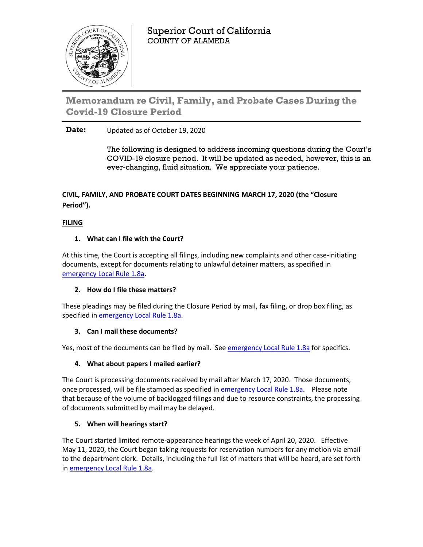

Superior Court of California COUNTY OF ALAMEDA

Memorandum re Civil, Family, and Probate Cases During the **Covid-19 Closure Period** 

# **Date:** Updated as of October 19, 2020

The following is designed to address incoming questions during the Court's COVID-19 closure period. It will be updated as needed, however, this is an ever-changing, fluid situation. We appreciate your patience.

# **CIVIL, FAMILY, AND PROBATE COURT DATES BEGINNING MARCH 17, 2020 (the "Closure Period").**

# **FILING**

# **1. What can I file with the Court?**

At this time, the Court is accepting all filings, including new complaints and other case-initiating documents, except for documents relating to unlawful detainer matters, as specified in [emergency Local Rule 1.8a.](http://www.alameda.courts.ca.gov/Resources/Documents/Emergency%20Local%20Rule%201.8a%20-%20(April%2010,%202020;%20amended%20August%2014,%202020)(1).pdf)

# **2. How do I file these matters?**

These pleadings may be filed during the Closure Period by mail, fax filing, or drop box filing, as specified in [emergency Local Rule 1.8a.](http://www.alameda.courts.ca.gov/Resources/Documents/Emergency%20Local%20Rule%201.8a%20-%20(April%2010,%202020;%20amended%20August%2014,%202020)(1).pdf)

# **3. Can I mail these documents?**

Yes, most of the documents can be filed by mail. Se[e emergency Local Rule 1.8a](http://www.alameda.courts.ca.gov/Resources/Documents/Emergency%20Local%20Rule%201.8a%20-%20(April%2010,%202020;%20amended%20August%2014,%202020)(1).pdf) for specifics.

# **4. What about papers I mailed earlier?**

The Court is processing documents received by mail after March 17, 2020. Those documents, once processed, will be file stamped as specified i[n emergency Local Rule 1.8a.](http://www.alameda.courts.ca.gov/Resources/Documents/Emergency%20Local%20Rule%201.8a%20-%20(April%2010,%202020;%20amended%20August%2014,%202020)(1).pdf) Please note that because of the volume of backlogged filings and due to resource constraints, the processing of documents submitted by mail may be delayed.

# **5. When will hearings start?**

The Court started limited remote-appearance hearings the week of April 20, 2020. Effective May 11, 2020, the Court began taking requests for reservation numbers for any motion via email to the department clerk. Details, including the full list of matters that will be heard, are set forth in [emergency Local Rule 1.8a.](http://www.alameda.courts.ca.gov/Resources/Documents/Emergency%20Local%20Rule%201.8a%20-%20(April%2010,%202020;%20amended%20August%2014,%202020)(1).pdf)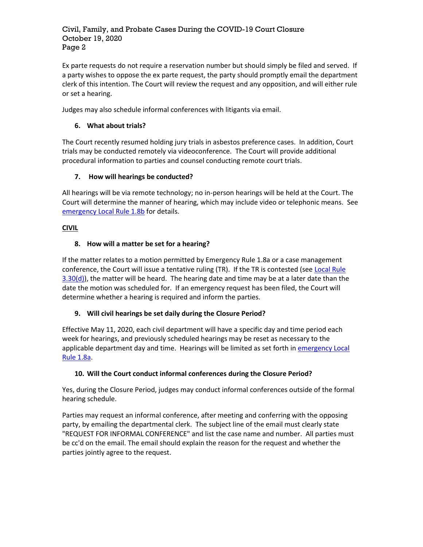#### Civil, Family, and Probate Cases During the COVID-19 Court Closure October 19, 2020 Page 2

Ex parte requests do not require a reservation number but should simply be filed and served. If a party wishes to oppose the ex parte request, the party should promptly email the department clerk of this intention. The Court will review the request and any opposition, and will either rule or set a hearing.

Judges may also schedule informal conferences with litigants via email.

### **6. What about trials?**

The Court recently resumed holding jury trials in asbestos preference cases. In addition, Court trials may be conducted remotely via videoconference. The Court will provide additional procedural information to parties and counsel conducting remote court trials.

# **7. How will hearings be conducted?**

All hearings will be via remote technology; no in-person hearings will be held at the Court. The Court will determine the manner of hearing, which may include video or telephonic means. See [emergency Local Rule 1.8b](http://www.alameda.courts.ca.gov/Resources/Documents/Emergency%20Rule%201.8b%20-%20NEW%20May%2019%20-%20FINAL.pdf) for details.

### **CIVIL**

### **8. How will a matter be set for a hearing?**

If the matter relates to a motion permitted by Emergency Rule 1.8a or a case management conference, the Court will issue a tentative ruling (TR). If the TR is contested (see Local Rule  $3.30(d)$ , the matter will be heard. The hearing date and time may be at a later date than the date the motion was scheduled for. If an emergency request has been filed, the Court will determine whether a hearing is required and inform the parties.

#### **9. Will civil hearings be set daily during the Closure Period?**

Effective May 11, 2020, each civil department will have a specific day and time period each week for hearings, and previously scheduled hearings may be reset as necessary to the applicable department day and time. Hearings will be limited as set forth in emergency Local [Rule 1.8a.](http://www.alameda.courts.ca.gov/Resources/Documents/Emergency%20Local%20Rule%201.8a%20-%20(April%2010,%202020;%20amended%20August%2014,%202020)(1).pdf)

#### **10. Will the Court conduct informal conferences during the Closure Period?**

Yes, during the Closure Period, judges may conduct informal conferences outside of the formal hearing schedule.

Parties may request an informal conference, after meeting and conferring with the opposing party, by emailing the departmental clerk. The subject line of the email must clearly state "REQUEST FOR INFORMAL CONFERENCE" and list the case name and number. All parties must be cc'd on the email. The email should explain the reason for the request and whether the parties jointly agree to the request.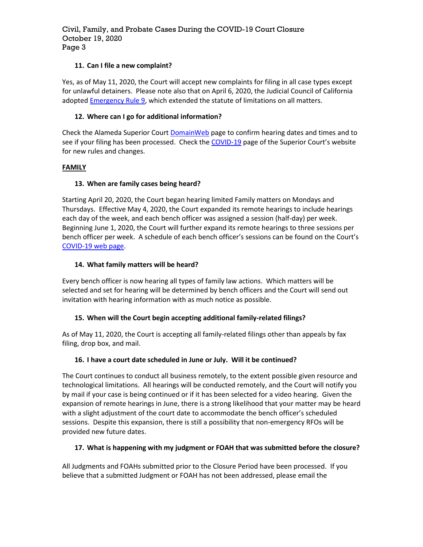### **11. Can I file a new complaint?**

Yes, as of May 11, 2020, the Court will accept new complaints for filing in all case types except for unlawful detainers. Please note also that on April 6, 2020, the Judicial Council of California adopted **Emergency Rule 9**, which extended the statute of limitations on all matters.

#### **12. Where can I go for additional information?**

Check the Alameda Superior Court **DomainWeb** page to confirm hearing dates and times and to see if your filing has been processed. Check the [COVID-19](http://www.alameda.courts.ca.gov/Pages.aspx/COVID-19) page of the Superior Court's website for new rules and changes.

# **FAMILY**

# **13. When are family cases being heard?**

Starting April 20, 2020, the Court began hearing limited Family matters on Mondays and Thursdays. Effective May 4, 2020, the Court expanded its remote hearings to include hearings each day of the week, and each bench officer was assigned a session (half-day) per week. Beginning June 1, 2020, the Court will further expand its remote hearings to three sessions per bench officer per week. A schedule of each bench officer's sessions can be found on the Court's [COVID-19 web page.](http://www.alameda.courts.ca.gov/Pages.aspx/COVID-19)

### **14. What family matters will be heard?**

Every bench officer is now hearing all types of family law actions. Which matters will be selected and set for hearing will be determined by bench officers and the Court will send out invitation with hearing information with as much notice as possible.

# **15. When will the Court begin accepting additional family-related filings?**

As of May 11, 2020, the Court is accepting all family-related filings other than appeals by fax filing, drop box, and mail.

# **16. I have a court date scheduled in June or July. Will it be continued?**

The Court continues to conduct all business remotely, to the extent possible given resource and technological limitations. All hearings will be conducted remotely, and the Court will notify you by mail if your case is being continued or if it has been selected for a video hearing. Given the expansion of remote hearings in June, there is a strong likelihood that your matter may be heard with a slight adjustment of the court date to accommodate the bench officer's scheduled sessions. Despite this expansion, there is still a possibility that non-emergency RFOs will be provided new future dates.

# **17. What is happening with my judgment or FOAH that was submitted before the closure?**

All Judgments and FOAHs submitted prior to the Closure Period have been processed. If you believe that a submitted Judgment or FOAH has not been addressed, please email the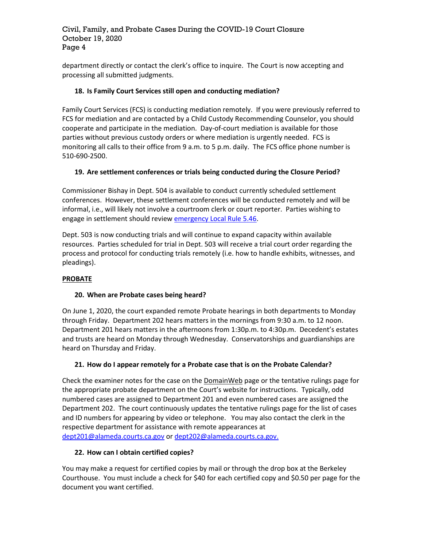#### Civil, Family, and Probate Cases During the COVID-19 Court Closure October 19, 2020 Page 4

department directly or contact the clerk's office to inquire. The Court is now accepting and processing all submitted judgments.

### **18. Is Family Court Services still open and conducting mediation?**

Family Court Services (FCS) is conducting mediation remotely. If you were previously referred to FCS for mediation and are contacted by a Child Custody Recommending Counselor, you should cooperate and participate in the mediation. Day-of-court mediation is available for those parties without previous custody orders or where mediation is urgently needed. FCS is monitoring all calls to their office from 9 a.m. to 5 p.m. daily. The FCS office phone number is 510-690-2500.

### **19. Are settlement conferences or trials being conducted during the Closure Period?**

Commissioner Bishay in Dept. 504 is available to conduct currently scheduled settlement conferences. However, these settlement conferences will be conducted remotely and will be informal, i.e., will likely not involve a courtroom clerk or court reporter. Parties wishing to engage in settlement should review [emergency Local Rule 5.46.](http://www.alameda.courts.ca.gov/Resources/Documents/April%2020,%202020%20-%20Emergency%20Rules%205.26,%205.31,%205.46%20and%205.51.pdf)

Dept. 503 is now conducting trials and will continue to expand capacity within available resources. Parties scheduled for trial in Dept. 503 will receive a trial court order regarding the process and protocol for conducting trials remotely (i.e. how to handle exhibits, witnesses, and pleadings).

#### **PROBATE**

#### **20. When are Probate cases being heard?**

On June 1, 2020, the court expanded remote Probate hearings in both departments to Monday through Friday. Department 202 hears matters in the mornings from 9:30 a.m. to 12 noon. Department 201 hears matters in the afternoons from 1:30p.m. to 4:30p.m. Decedent's estates and trusts are heard on Monday through Wednesday. Conservatorships and guardianships are heard on Thursday and Friday.

#### **21. How do I appear remotely for a Probate case that is on the Probate Calendar?**

Check the examiner notes for the case on the DomainWeb page or the tentative rulings page for the appropriate probate department on the Court's website for instructions. Typically, odd numbered cases are assigned to Department 201 and even numbered cases are assigned the Department 202. The court continuously updates the tentative rulings page for the list of cases and ID numbers for appearing by video or telephone. You may also contact the clerk in the respective department for assistance with remote appearances at [dept201@alameda.courts.ca.gov](mailto:dept201@alameda.courts.ca.gov) o[r dept202@alameda.courts.ca.gov.](mailto:dept202@alameda.courts.ca.gov)

#### **22. How can I obtain certified copies?**

You may make a request for certified copies by mail or through the drop box at the Berkeley Courthouse. You must include a check for \$40 for each certified copy and \$0.50 per page for the document you want certified.